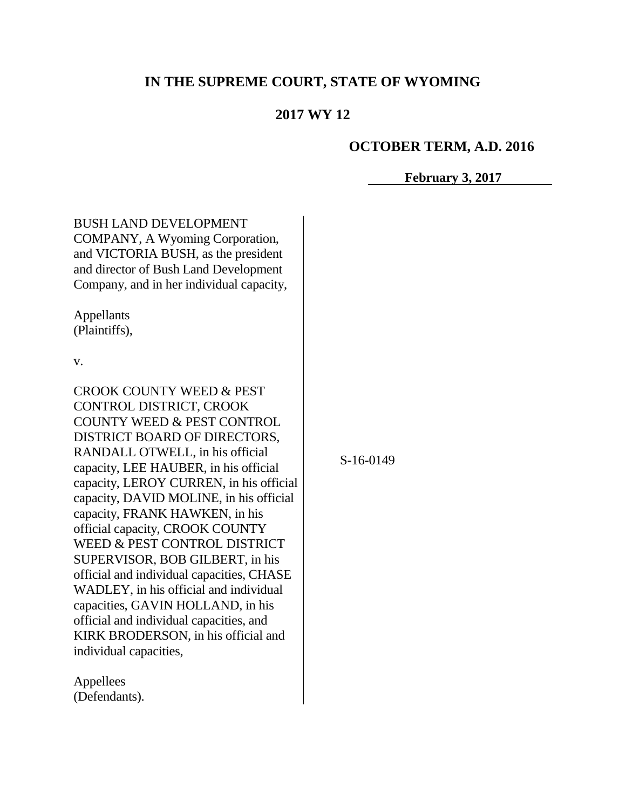# **IN THE SUPREME COURT, STATE OF WYOMING**

# **2017 WY 12**

#### **OCTOBER TERM, A.D. 2016**

#### **February 3, 2017**

BUSH LAND DEVELOPMENT COMPANY, A Wyoming Corporation, and VICTORIA BUSH, as the president and director of Bush Land Development Company, and in her individual capacity,

Appellants (Plaintiffs),

v.

CROOK COUNTY WEED & PEST CONTROL DISTRICT, CROOK COUNTY WEED & PEST CONTROL DISTRICT BOARD OF DIRECTORS, RANDALL OTWELL, in his official capacity, LEE HAUBER, in his official capacity, LEROY CURREN, in his official capacity, DAVID MOLINE, in his official capacity, FRANK HAWKEN, in his official capacity, CROOK COUNTY WEED & PEST CONTROL DISTRICT SUPERVISOR, BOB GILBERT, in his official and individual capacities, CHASE WADLEY, in his official and individual capacities, GAVIN HOLLAND, in his official and individual capacities, and KIRK BRODERSON, in his official and individual capacities,

Appellees (Defendants). S-16-0149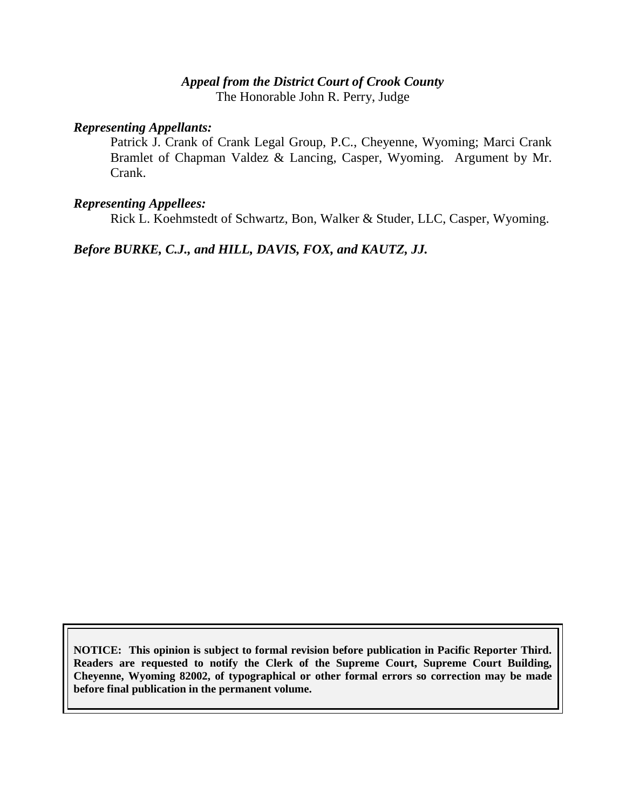# *Appeal from the District Court of Crook County* The Honorable John R. Perry, Judge

#### *Representing Appellants:*

Patrick J. Crank of Crank Legal Group, P.C., Cheyenne, Wyoming; Marci Crank Bramlet of Chapman Valdez & Lancing, Casper, Wyoming. Argument by Mr. Crank.

### *Representing Appellees:*

Rick L. Koehmstedt of Schwartz, Bon, Walker & Studer, LLC, Casper, Wyoming.

*Before BURKE, C.J., and HILL, DAVIS, FOX, and KAUTZ, JJ.*

**NOTICE: This opinion is subject to formal revision before publication in Pacific Reporter Third. Readers are requested to notify the Clerk of the Supreme Court, Supreme Court Building, Cheyenne, Wyoming 82002, of typographical or other formal errors so correction may be made before final publication in the permanent volume.**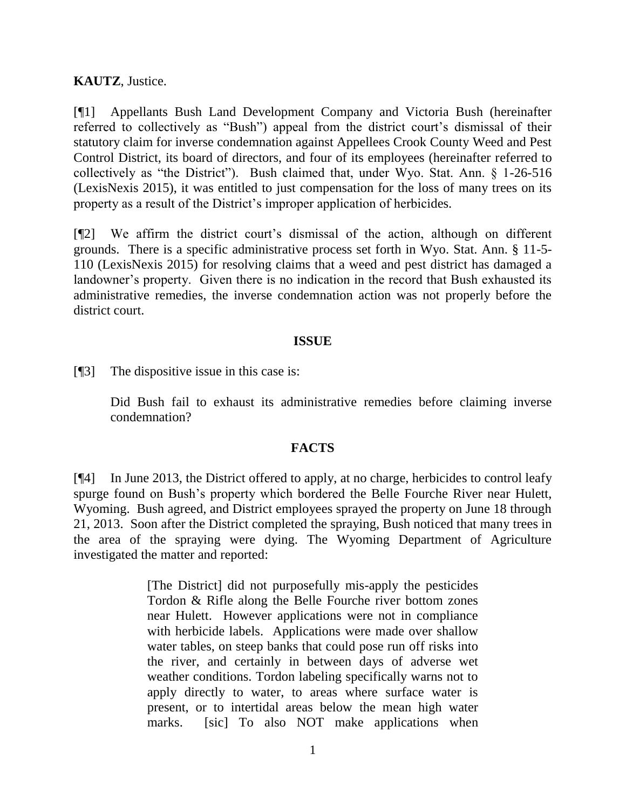**KAUTZ**, Justice.

[¶1] Appellants Bush Land Development Company and Victoria Bush (hereinafter referred to collectively as "Bush") appeal from the district court's dismissal of their statutory claim for inverse condemnation against Appellees Crook County Weed and Pest Control District, its board of directors, and four of its employees (hereinafter referred to collectively as "the District"). Bush claimed that, under Wyo. Stat. Ann. § 1-26-516 (LexisNexis 2015), it was entitled to just compensation for the loss of many trees on its property as a result of the District's improper application of herbicides.

[¶2] We affirm the district court's dismissal of the action, although on different grounds. There is a specific administrative process set forth in Wyo. Stat. Ann. § 11-5- 110 (LexisNexis 2015) for resolving claims that a weed and pest district has damaged a landowner's property. Given there is no indication in the record that Bush exhausted its administrative remedies, the inverse condemnation action was not properly before the district court.

## **ISSUE**

[¶3] The dispositive issue in this case is:

Did Bush fail to exhaust its administrative remedies before claiming inverse condemnation?

# **FACTS**

[¶4] In June 2013, the District offered to apply, at no charge, herbicides to control leafy spurge found on Bush's property which bordered the Belle Fourche River near Hulett, Wyoming. Bush agreed, and District employees sprayed the property on June 18 through 21, 2013. Soon after the District completed the spraying, Bush noticed that many trees in the area of the spraying were dying. The Wyoming Department of Agriculture investigated the matter and reported:

> [The District] did not purposefully mis-apply the pesticides Tordon & Rifle along the Belle Fourche river bottom zones near Hulett. However applications were not in compliance with herbicide labels. Applications were made over shallow water tables, on steep banks that could pose run off risks into the river, and certainly in between days of adverse wet weather conditions. Tordon labeling specifically warns not to apply directly to water, to areas where surface water is present, or to intertidal areas below the mean high water marks. [sic] To also NOT make applications when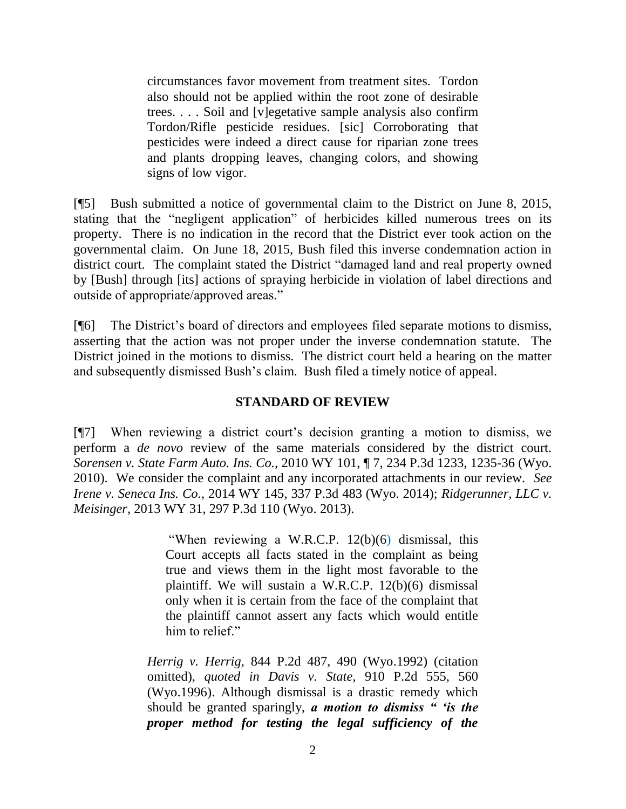circumstances favor movement from treatment sites. Tordon also should not be applied within the root zone of desirable trees. . . . Soil and [v]egetative sample analysis also confirm Tordon/Rifle pesticide residues. [sic] Corroborating that pesticides were indeed a direct cause for riparian zone trees and plants dropping leaves, changing colors, and showing signs of low vigor.

[¶5] Bush submitted a notice of governmental claim to the District on June 8, 2015, stating that the "negligent application" of herbicides killed numerous trees on its property. There is no indication in the record that the District ever took action on the governmental claim. On June 18, 2015, Bush filed this inverse condemnation action in district court. The complaint stated the District "damaged land and real property owned by [Bush] through [its] actions of spraying herbicide in violation of label directions and outside of appropriate/approved areas."

[¶6] The District's board of directors and employees filed separate motions to dismiss, asserting that the action was not proper under the inverse condemnation statute. The District joined in the motions to dismiss. The district court held a hearing on the matter and subsequently dismissed Bush's claim. Bush filed a timely notice of appeal.

## **STANDARD OF REVIEW**

[¶7] When reviewing a district court's decision granting a motion to dismiss, we perform a *de novo* review of the same materials considered by the district court*. Sorensen v. State Farm Auto. Ins. Co.,* 2010 WY 101, ¶ 7, 234 P.3d 1233, 1235-36 (Wyo. 2010). We consider the complaint and any incorporated attachments in our review. *See Irene v. Seneca Ins. Co.,* 2014 WY 145, 337 P.3d 483 (Wyo. 2014); *Ridgerunner, LLC v. Meisinger,* 2013 WY 31, 297 P.3d 110 (Wyo. 2013).

> "When reviewing a W.R.C.P. 12(b)(6) dismissal, this Court accepts all facts stated in the complaint as being true and views them in the light most favorable to the plaintiff. We will sustain a [W.R.C.P. 12\(b\)\(6\)](http://www.westlaw.com/Link/Document/FullText?findType=L&pubNum=1006377&cite=WYRRCPR12&originatingDoc=I2aecf842f56711d9b386b232635db992&refType=LQ&originationContext=document&vr=3.0&rs=cblt1.0&transitionType=DocumentItem&contextData=(sc.Search)) dismissal only when it is certain from the face of the complaint that the plaintiff cannot assert any facts which would entitle him to relief."

*Herrig v. Herrig,* [844 P.2d 487, 490 \(Wyo.1992\)](http://www.westlaw.com/Link/Document/FullText?findType=Y&serNum=1992221510&pubNum=661&originatingDoc=I2aecf842f56711d9b386b232635db992&refType=RP&fi=co_pp_sp_661_490&originationContext=document&vr=3.0&rs=cblt1.0&transitionType=DocumentItem&contextData=(sc.Search)#co_pp_sp_661_490) (citation omitted), *quoted in Davis v. State,* [910 P.2d 555, 560](http://www.westlaw.com/Link/Document/FullText?findType=Y&serNum=1996026767&pubNum=661&originatingDoc=I2aecf842f56711d9b386b232635db992&refType=RP&fi=co_pp_sp_661_560&originationContext=document&vr=3.0&rs=cblt1.0&transitionType=DocumentItem&contextData=(sc.Search)#co_pp_sp_661_560)  [\(Wyo.1996\).](http://www.westlaw.com/Link/Document/FullText?findType=Y&serNum=1996026767&pubNum=661&originatingDoc=I2aecf842f56711d9b386b232635db992&refType=RP&fi=co_pp_sp_661_560&originationContext=document&vr=3.0&rs=cblt1.0&transitionType=DocumentItem&contextData=(sc.Search)#co_pp_sp_661_560) Although dismissal is a drastic remedy which should be granted sparingly, *a motion to dismiss " 'is the proper method for testing the legal sufficiency of the*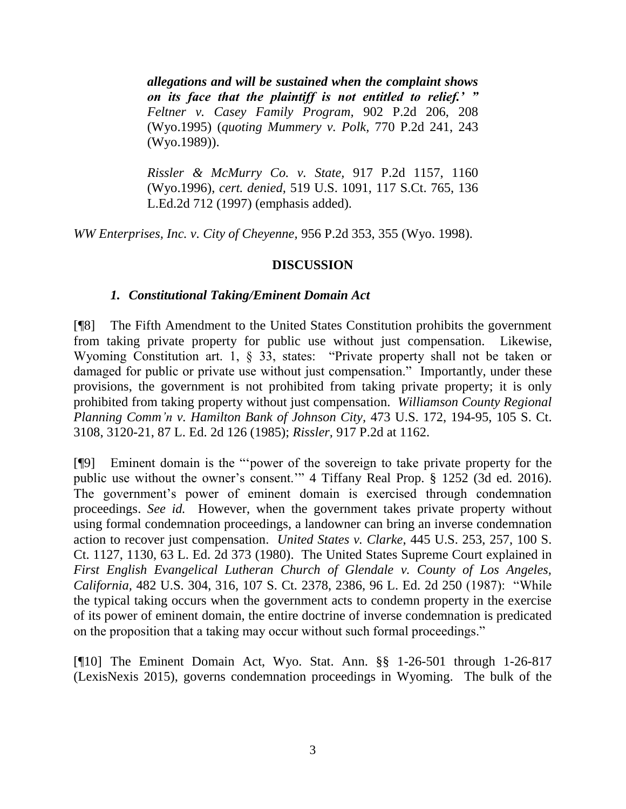*allegations and will be sustained when the complaint shows on its face that the plaintiff is not entitled to relief.' " [Feltner v. Casey Family Program,](http://www.westlaw.com/Link/Document/FullText?findType=Y&serNum=1995182863&pubNum=661&originatingDoc=I2aecf842f56711d9b386b232635db992&refType=RP&fi=co_pp_sp_661_208&originationContext=document&vr=3.0&rs=cblt1.0&transitionType=DocumentItem&contextData=(sc.Search)#co_pp_sp_661_208)* 902 P.2d 206, 208 [\(Wyo.1995\)](http://www.westlaw.com/Link/Document/FullText?findType=Y&serNum=1995182863&pubNum=661&originatingDoc=I2aecf842f56711d9b386b232635db992&refType=RP&fi=co_pp_sp_661_208&originationContext=document&vr=3.0&rs=cblt1.0&transitionType=DocumentItem&contextData=(sc.Search)#co_pp_sp_661_208) (*quoting Mummery v. Polk,* [770 P.2d 241, 243](http://www.westlaw.com/Link/Document/FullText?findType=Y&serNum=1989036713&pubNum=661&originatingDoc=I2aecf842f56711d9b386b232635db992&refType=RP&fi=co_pp_sp_661_243&originationContext=document&vr=3.0&rs=cblt1.0&transitionType=DocumentItem&contextData=(sc.Search)#co_pp_sp_661_243)  [\(Wyo.1989\)\)](http://www.westlaw.com/Link/Document/FullText?findType=Y&serNum=1989036713&pubNum=661&originatingDoc=I2aecf842f56711d9b386b232635db992&refType=RP&fi=co_pp_sp_661_243&originationContext=document&vr=3.0&rs=cblt1.0&transitionType=DocumentItem&contextData=(sc.Search)#co_pp_sp_661_243).

*[Rissler & McMurry Co. v. State,](http://www.westlaw.com/Link/Document/FullText?findType=Y&serNum=1996128477&pubNum=661&originatingDoc=I2aecf842f56711d9b386b232635db992&refType=RP&fi=co_pp_sp_661_1160&originationContext=document&vr=3.0&rs=cblt1.0&transitionType=DocumentItem&contextData=(sc.Search)#co_pp_sp_661_1160)* 917 P.2d 1157, 1160 [\(Wyo.1996\),](http://www.westlaw.com/Link/Document/FullText?findType=Y&serNum=1996128477&pubNum=661&originatingDoc=I2aecf842f56711d9b386b232635db992&refType=RP&fi=co_pp_sp_661_1160&originationContext=document&vr=3.0&rs=cblt1.0&transitionType=DocumentItem&contextData=(sc.Search)#co_pp_sp_661_1160) *cert. denied,* [519 U.S. 1091, 117 S.Ct. 765, 136](http://www.westlaw.com/Link/Document/FullText?findType=Y&serNum=1996238507&pubNum=708&originatingDoc=I2aecf842f56711d9b386b232635db992&refType=RP&originationContext=document&vr=3.0&rs=cblt1.0&transitionType=DocumentItem&contextData=(sc.Search))  [L.Ed.2d 712 \(1997\)](http://www.westlaw.com/Link/Document/FullText?findType=Y&serNum=1996238507&pubNum=708&originatingDoc=I2aecf842f56711d9b386b232635db992&refType=RP&originationContext=document&vr=3.0&rs=cblt1.0&transitionType=DocumentItem&contextData=(sc.Search)) (emphasis added).

*WW Enterprises, Inc. v. City of Cheyenne,* 956 P.2d 353, 355 (Wyo. 1998).

## **DISCUSSION**

## *1. Constitutional Taking/Eminent Domain Act*

[¶8] The Fifth Amendment to the United States Constitution prohibits the government from taking private property for public use without just compensation. Likewise, Wyoming Constitution art. 1, § 33, states: "Private property shall not be taken or damaged for public or private use without just compensation." Importantly, under these provisions, the government is not prohibited from taking private property; it is only prohibited from taking property without just compensation. *[Williamson County Regional](http://www.westlaw.com/Link/Document/FullText?findType=Y&serNum=1985133040&pubNum=708&originatingDoc=Ibefae0e5f57d11d9b386b232635db992&refType=RP&originationContext=document&vr=3.0&rs=cblt1.0&transitionType=DocumentItem&contextData=(sc.Search))  Planning Comm'n [v. Hamilton Bank of Johnson City,](http://www.westlaw.com/Link/Document/FullText?findType=Y&serNum=1985133040&pubNum=708&originatingDoc=Ibefae0e5f57d11d9b386b232635db992&refType=RP&originationContext=document&vr=3.0&rs=cblt1.0&transitionType=DocumentItem&contextData=(sc.Search))* 473 U.S. 172, 194-95, 105 S. Ct. [3108, 3120-21, 87 L.](http://www.westlaw.com/Link/Document/FullText?findType=Y&serNum=1985133040&pubNum=708&originatingDoc=Ibefae0e5f57d11d9b386b232635db992&refType=RP&originationContext=document&vr=3.0&rs=cblt1.0&transitionType=DocumentItem&contextData=(sc.Search)) Ed. 2d 126 (1985); *Rissler,* 917 P.2d at 1162.

[¶9] Eminent domain is the "'power of the sovereign to take private property for the public use without the owner's consent.'" 4 Tiffany Real Prop. § 1252 (3d ed. 2016). The government's power of eminent domain is exercised through condemnation proceedings. *See id.* However, when the government takes private property without using formal condemnation proceedings, a landowner can bring an inverse condemnation action to recover just compensation. *United States v. Clarke*[, 445 U.S. 253, 257, 100 S.](http://www.westlaw.com/Link/Document/FullText?findType=Y&serNum=1980105864&pubNum=708&originatingDoc=Ic1d453d59c1e11d991d0cc6b54f12d4d&refType=RP&fi=co_pp_sp_708_1130&originationContext=document&vr=3.0&rs=cblt1.0&transitionType=DocumentItem&contextData=(sc.Search)#co_pp_sp_708_1130)  [Ct. 1127, 1130, 63 L. Ed. 2d 373 \(1980\).](http://www.westlaw.com/Link/Document/FullText?findType=Y&serNum=1980105864&pubNum=708&originatingDoc=Ic1d453d59c1e11d991d0cc6b54f12d4d&refType=RP&fi=co_pp_sp_708_1130&originationContext=document&vr=3.0&rs=cblt1.0&transitionType=DocumentItem&contextData=(sc.Search)#co_pp_sp_708_1130) The United States Supreme Court explained in *First English Evangelical Lutheran Church of Glendale v. County of Los Angeles, California,* 482 U.S. 304, 316, 107 S. Ct. 2378, 2386, 96 L. Ed. 2d 250 (1987): "While the typical taking occurs when the government acts to condemn property in the exercise of its power of eminent domain, the entire doctrine of inverse condemnation is predicated on the proposition that a taking may occur without such formal proceedings."

[¶10] The Eminent Domain Act, Wyo. Stat. Ann. §§ 1-26-501 through 1-26-817 (LexisNexis 2015), governs condemnation proceedings in Wyoming. The bulk of the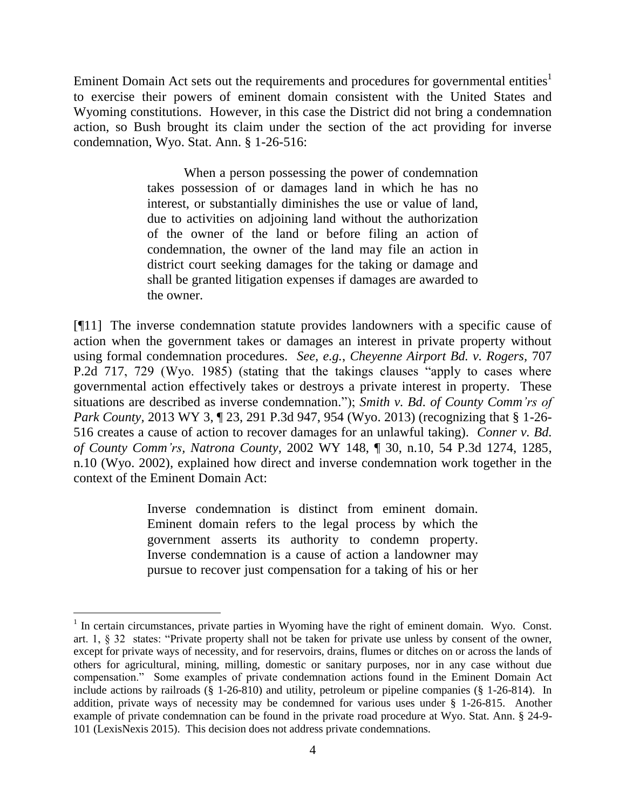Eminent Domain Act sets out the requirements and procedures for governmental entities<sup>1</sup> to exercise their powers of eminent domain consistent with the United States and Wyoming constitutions. However, in this case the District did not bring a condemnation action, so Bush brought its claim under the section of the act providing for inverse condemnation, Wyo. Stat. Ann. § 1-26-516:

> When a person possessing the power of condemnation takes possession of or damages land in which he has no interest, or substantially diminishes the use or value of land, due to activities on adjoining land without the authorization of the owner of the land or before filing an action of condemnation, the owner of the land may file an action in district court seeking damages for the taking or damage and shall be granted litigation expenses if damages are awarded to the owner.

[¶11] The inverse condemnation statute provides landowners with a specific cause of action when the government takes or damages an interest in private property without using formal condemnation procedures. *See, e.g.*, *Cheyenne Airport Bd. v. Rogers,* 707 P.2d 717, 729 (Wyo. 1985) (stating that the takings clauses "apply to cases where governmental action effectively takes or destroys a private interest in property. These situations are described as inverse condemnation."); *Smith v. Bd. of County Comm'rs of Park County, 2013 WY 3, 123, 291 P.3d 947, 954 (Wyo. 2013) (recognizing that § 1-26-*516 creates a cause of action to recover damages for an unlawful taking). *Conner v. Bd. of County Comm'rs, Natrona County,* 2002 WY 148, ¶ 30, n.10, 54 P.3d 1274, 1285, n.10 (Wyo. 2002), explained how direct and inverse condemnation work together in the context of the Eminent Domain Act:

> Inverse condemnation is distinct from eminent domain. Eminent domain refers to the legal process by which the government asserts its authority to condemn property. Inverse condemnation is a cause of action a landowner may pursue to recover just compensation for a taking of his or her

 $\overline{a}$ 

<sup>&</sup>lt;sup>1</sup> In certain circumstances, private parties in Wyoming have the right of eminent domain. Wyo. Const. art. 1, § 32 states: "Private property shall not be taken for private use unless by consent of the owner, except for private ways of necessity, and for reservoirs, drains, flumes or ditches on or across the lands of others for agricultural, mining, milling, domestic or sanitary purposes, nor in any case without due compensation." Some examples of private condemnation actions found in the Eminent Domain Act include actions by railroads (§ 1-26-810) and utility, petroleum or pipeline companies (§ 1-26-814). In addition, private ways of necessity may be condemned for various uses under § 1-26-815. Another example of private condemnation can be found in the private road procedure at Wyo. Stat. Ann. § 24-9- 101 (LexisNexis 2015). This decision does not address private condemnations.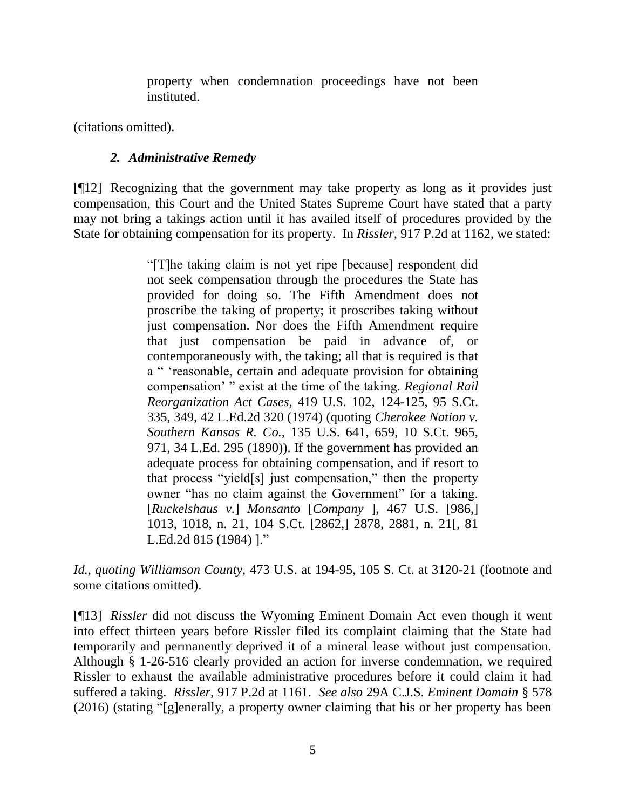property when condemnation proceedings have not been instituted.

(citations omitted).

# *2. Administrative Remedy*

[¶12] Recognizing that the government may take property as long as it provides just compensation, this Court and the United States Supreme Court have stated that a party may not bring a takings action until it has availed itself of procedures provided by the State for obtaining compensation for its property. In *Rissler,* 917 P.2d at 1162, we stated:

> "[T]he taking claim is not yet ripe [because] respondent did not seek compensation through the procedures the State has provided for doing so. The Fifth Amendment does not proscribe the taking of property; it proscribes taking without just compensation. Nor does the Fifth Amendment require that just compensation be paid in advance of, or contemporaneously with, the taking; all that is required is that a " 'reasonable, certain and adequate provision for obtaining compensation' " exist at the time of the taking. *[Regional Rail](http://www.westlaw.com/Link/Document/FullText?findType=Y&serNum=1974138446&pubNum=708&originatingDoc=Ibefae0e5f57d11d9b386b232635db992&refType=RP&fi=co_pp_sp_708_349&originationContext=document&vr=3.0&rs=cblt1.0&transitionType=DocumentItem&contextData=(sc.Search)#co_pp_sp_708_349)  Reorganization Act Cases,* [419 U.S. 102, 124-125, 95 S.Ct.](http://www.westlaw.com/Link/Document/FullText?findType=Y&serNum=1974138446&pubNum=708&originatingDoc=Ibefae0e5f57d11d9b386b232635db992&refType=RP&fi=co_pp_sp_708_349&originationContext=document&vr=3.0&rs=cblt1.0&transitionType=DocumentItem&contextData=(sc.Search)#co_pp_sp_708_349)  [335, 349, 42 L.Ed.2d 320 \(1974\)](http://www.westlaw.com/Link/Document/FullText?findType=Y&serNum=1974138446&pubNum=708&originatingDoc=Ibefae0e5f57d11d9b386b232635db992&refType=RP&fi=co_pp_sp_708_349&originationContext=document&vr=3.0&rs=cblt1.0&transitionType=DocumentItem&contextData=(sc.Search)#co_pp_sp_708_349) (quoting *[Cherokee Nation v.](http://www.westlaw.com/Link/Document/FullText?findType=Y&serNum=1890180102&pubNum=708&originatingDoc=Ibefae0e5f57d11d9b386b232635db992&refType=RP&fi=co_pp_sp_708_971&originationContext=document&vr=3.0&rs=cblt1.0&transitionType=DocumentItem&contextData=(sc.Search)#co_pp_sp_708_971)  Southern Kansas R. Co.,* [135 U.S. 641, 659, 10 S.Ct. 965,](http://www.westlaw.com/Link/Document/FullText?findType=Y&serNum=1890180102&pubNum=708&originatingDoc=Ibefae0e5f57d11d9b386b232635db992&refType=RP&fi=co_pp_sp_708_971&originationContext=document&vr=3.0&rs=cblt1.0&transitionType=DocumentItem&contextData=(sc.Search)#co_pp_sp_708_971)  [971, 34 L.Ed. 295 \(1890\)\)](http://www.westlaw.com/Link/Document/FullText?findType=Y&serNum=1890180102&pubNum=708&originatingDoc=Ibefae0e5f57d11d9b386b232635db992&refType=RP&fi=co_pp_sp_708_971&originationContext=document&vr=3.0&rs=cblt1.0&transitionType=DocumentItem&contextData=(sc.Search)#co_pp_sp_708_971). If the government has provided an adequate process for obtaining compensation, and if resort to that process "yield[s] just compensation," then the property owner "has no claim against the Government" for a taking. [*Ruckelshaus v.*] *Monsanto* [*Company* [\], 467 U.S. \[986,\]](http://www.westlaw.com/Link/Document/FullText?findType=Y&serNum=1984130892&pubNum=708&originatingDoc=Ibefae0e5f57d11d9b386b232635db992&refType=RP&fi=co_pp_sp_708_2878&originationContext=document&vr=3.0&rs=cblt1.0&transitionType=DocumentItem&contextData=(sc.Search)#co_pp_sp_708_2878)  [1013, 1018, n. 21, 104 S.Ct. \[2862,\] 2878, 2881, n. 21\[, 81](http://www.westlaw.com/Link/Document/FullText?findType=Y&serNum=1984130892&pubNum=708&originatingDoc=Ibefae0e5f57d11d9b386b232635db992&refType=RP&fi=co_pp_sp_708_2878&originationContext=document&vr=3.0&rs=cblt1.0&transitionType=DocumentItem&contextData=(sc.Search)#co_pp_sp_708_2878)  [L.Ed.2d 815 \(1984\)](http://www.westlaw.com/Link/Document/FullText?findType=Y&serNum=1984130892&pubNum=708&originatingDoc=Ibefae0e5f57d11d9b386b232635db992&refType=RP&fi=co_pp_sp_708_2878&originationContext=document&vr=3.0&rs=cblt1.0&transitionType=DocumentItem&contextData=(sc.Search)#co_pp_sp_708_2878) ]."

*Id., quoting Williamson County,* [473 U.S. at 194-95, 105 S.](http://www.westlaw.com/Link/Document/FullText?findType=Y&serNum=1985133040&pubNum=708&originatingDoc=Ibefae0e5f57d11d9b386b232635db992&refType=RP&fi=co_pp_sp_708_3120&originationContext=document&vr=3.0&rs=cblt1.0&transitionType=DocumentItem&contextData=(sc.Search)#co_pp_sp_708_3120) Ct. at 3120-21 (footnote and some citations omitted).

[¶13] *Rissler* did not discuss the Wyoming Eminent Domain Act even though it went into effect thirteen years before Rissler filed its complaint claiming that the State had temporarily and permanently deprived it of a mineral lease without just compensation. Although § 1-26-516 clearly provided an action for inverse condemnation, we required Rissler to exhaust the available administrative procedures before it could claim it had suffered a taking. *Rissler,* 917 P.2d at 1161. *See also* 29A C.J.S. *Eminent Domain* § 578 (2016) (stating "[g]enerally, a property owner claiming that his or her property has been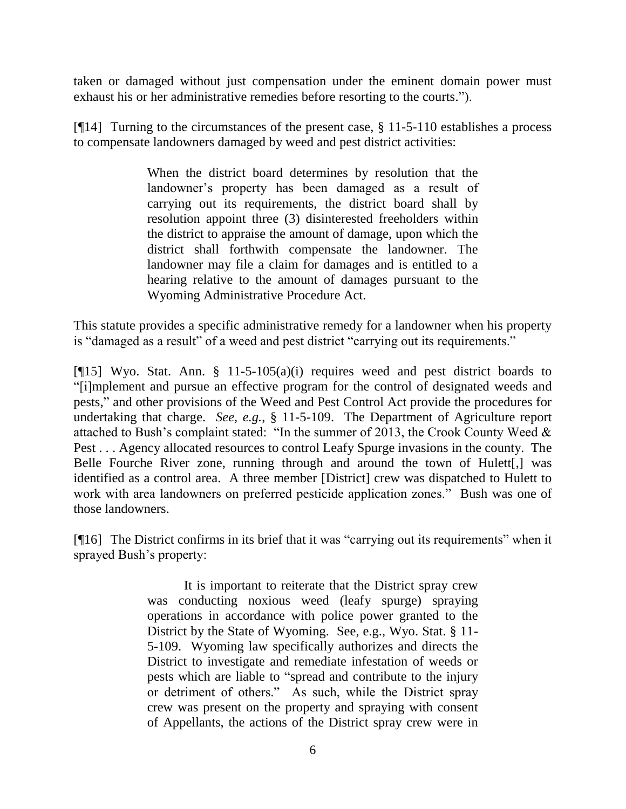taken or damaged without just compensation under the eminent domain power must exhaust his or her administrative remedies before resorting to the courts.").

[ $[14]$ ] Turning to the circumstances of the present case,  $\S 11-5-110$  establishes a process to compensate landowners damaged by weed and pest district activities:

> When the district board determines by resolution that the landowner's property has been damaged as a result of carrying out its requirements, the district board shall by resolution appoint three (3) disinterested freeholders within the district to appraise the amount of damage, upon which the district shall forthwith compensate the landowner. The landowner may file a claim for damages and is entitled to a hearing relative to the amount of damages pursuant to the Wyoming Administrative Procedure Act.

This statute provides a specific administrative remedy for a landowner when his property is "damaged as a result" of a weed and pest district "carrying out its requirements."

[ $[15]$  Wyo. Stat. Ann. § 11-5-105(a)(i) requires weed and pest district boards to "[i]mplement and pursue an effective program for the control of designated weeds and pests," and other provisions of the Weed and Pest Control Act provide the procedures for undertaking that charge. *See, e.g.*, § 11-5-109. The Department of Agriculture report attached to Bush's complaint stated: "In the summer of 2013, the Crook County Weed & Pest . . . Agency allocated resources to control Leafy Spurge invasions in the county. The Belle Fourche River zone, running through and around the town of Hulett[,] was identified as a control area. A three member [District] crew was dispatched to Hulett to work with area landowners on preferred pesticide application zones." Bush was one of those landowners.

[¶16] The District confirms in its brief that it was "carrying out its requirements" when it sprayed Bush's property:

> It is important to reiterate that the District spray crew was conducting noxious weed (leafy spurge) spraying operations in accordance with police power granted to the District by the State of Wyoming. See, e.g., Wyo. Stat. § 11- 5-109. Wyoming law specifically authorizes and directs the District to investigate and remediate infestation of weeds or pests which are liable to "spread and contribute to the injury or detriment of others." As such, while the District spray crew was present on the property and spraying with consent of Appellants, the actions of the District spray crew were in